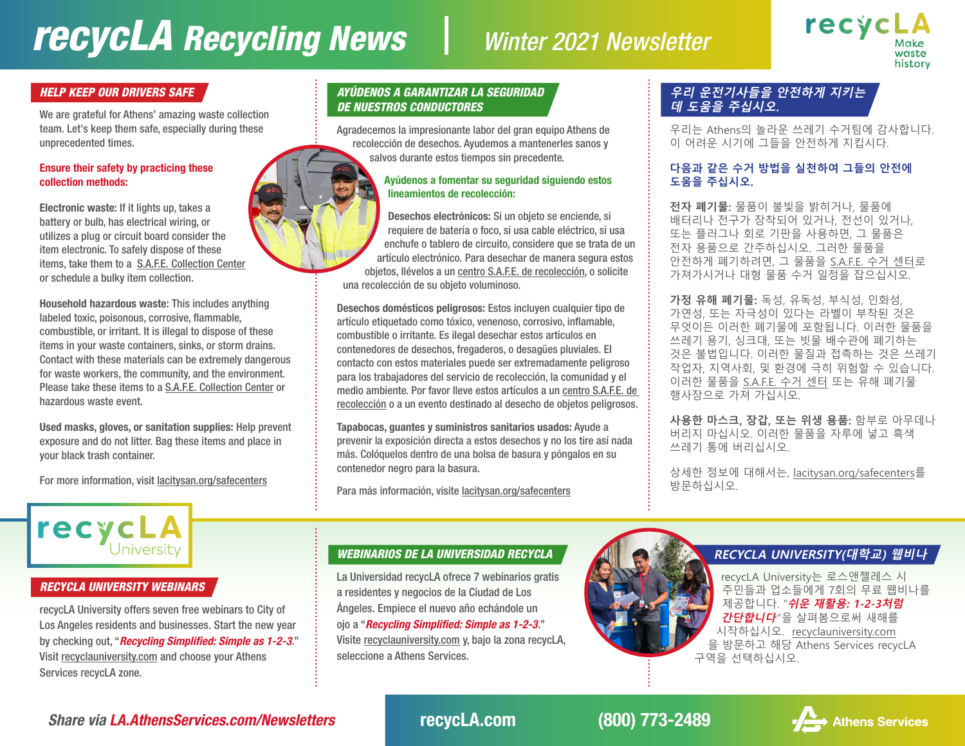# *recycLA Recycling News Winter 2021 Newsletter*



We are grateful for Athens' amazing waste collection team. Let's keep them safe, especially during these unprecedented times.

#### Ensure their safety by practicing these collection methods:

Electronic waste: If it lights up, takes a battery or bulb, has electrical wiring, or utilizes a plug or circuit board consider the item electronic. To safely dispose of these items, take them to a [S.A.F.E. Collection Center](http://lacitysan.org/safecenters) or schedule a bulky item collection.

Household hazardous waste: This includes anything labeled toxic, poisonous, corrosive, flammable, combustible, or irritant. It is illegal to dispose of these items in your waste containers, sinks, or storm drains. Contact with these materials can be extremely dangerous for waste workers, the community, and the environment. Please take these items to a [S.A.F.E. Collection Center](http://lacitysan.org/safecenters) or hazardous waste event.

Used masks, gloves, or sanitation supplies: Help prevent exposure and do not litter. Bag these items and place in your black trash container.

For more information, visit [lacitysan.org/safecenters](http://lacitysan.org/safecenters)

# recycLA University

#### *RECYCLA UNIVERSITY WEBINARS*

recycLA University offers seven free webinars to City of Los Angeles residents and businesses. Start the new year by checking out, "*Recycling Simplified: Simple as 1-2-3*." Visit [recyclauniversity.com](http://recyclauniversity.com) and choose your Athens Services recycLA zone.

#### *HELP KEEP OUR DRIVERS SAFE AYÚDENOS A GARANTIZAR LA SEGURIDAD DE NUESTROS CONDUCTORES*

Agradecemos la impresionante labor del gran equipo Athens de recolección de desechos. Ayudemos a mantenerles sanos y salvos durante estos tiempos sin precedente.

#### Ayúdenos a fomentar su seguridad siguiendo estos lineamientos de recolección:

Desechos electrónicos: Si un objeto se enciende, si requiere de batería o foco, si usa cable eléctrico, si usa enchufe o tablero de circuito, considere que se trata de un artículo electrónico. Para desechar de manera segura estos objetos, llévelos a un [centro S.A.F.E. de recolección,](http://lacitysan.org/safecenters) o solicite una recolección de su objeto voluminoso.

Desechos domésticos peligrosos: Estos incluyen cualquier tipo de artículo etiquetado como tóxico, venenoso, corrosivo, inflamable, combustible o irritante. Es ilegal desechar estos artículos en contenedores de desechos, fregaderos, o desagües pluviales. El contacto con estos materiales puede ser extremadamente peligroso para los trabajadores del servicio de recolección, la comunidad y el medio ambiente. Por favor lleve estos artículos a un [centro S.A.F.E. de](http://lacitysan.org/safecenters)  [recolección](http://lacitysan.org/safecenters) o a un evento destinado al desecho de objetos peligrosos.

Tapabocas, guantes y suministros sanitarios usados: Ayude a prevenir la exposición directa a estos desechos y no los tire así nada más. Colóquelos dentro de una bolsa de basura y póngalos en su contenedor negro para la basura.

Para más información, visite [lacitysan.org/safecenters](http://lacitysan.org/safecenters)

#### **우리 운전기사들을 안전하게 지키는 데 도움을 주십시오.**

우리는 Athens의 놀라운 쓰레기 수거팀에 감사합니다. 이 어려운 시기에 그들을 안전하게 지킵시다.

#### **다음과 같은 수거 방법을 실천하여 그들의 안전에 도움을 주십시오.**

**전자 폐기물:** 물품이 불빛을 밝히거나, 물품에 배터리나 전구가 장착되어 있거나, 전선이 있거나, 또는 플러그나 회로 기판을 사용하면, 그 물품은 전자 용품으로 간주하십시오. 그러한 물품을 안전하게 폐기하려면, 그 물품을 [S.A.F.E. 수거 센터로](http://lacitysan.org/safecenters) 가져가시거나 대형 물품 수거 일정을 잡으십시오.

**가정 유해 폐기물:** 독성, 유독성, 부식성, 인화성, 가연성, 또는 자극성이 있다는 라벨이 부착된 것은 무엇이든 이러한 폐기물에 포함됩니다. 이러한 물품을 쓰레기 용기, 싱크대, 또는 빗물 배수관에 폐기하는 것은 불법입니다. 이러한 물질과 접촉하는 것은 쓰레기 작업자, 지역사회, 및 환경에 극히 위험할 수 있습니다. 이러한 물품을 [S.A.F.E. 수거 센터](http://lacitysan.org/safecenters) 또는 유해 폐기물 행사장으로 가져 가십시오.

**사용한 마스크, 장갑, 또는 위생 용품:** 함부로 아무데나 버리지 마십시오. 이러한 물품을 자루에 넣고 흑색 쓰레기 통에 버리십시오.

상세한 정보에 대해서는, [lacitysan.org/safecenters를](http://lacitysan.org/safecenters) 방문하십시오.

### *WEBINARIOS DE LA UNIVERSIDAD RECYCLA* **RECYCLA UNIVERSITY(대학교) 웹비나**

La Universidad recycLA ofrece 7 webinarios gratis a residentes y negocios de la Ciudad de Los Ángeles. Empiece el nuevo año echándole un ojo a "*Recycling Simplified: Simple as 1-2-3*." Visite [recyclauniversity.com](http://recyclauniversity.com) y, bajo la zona recycLA, seleccione a Athens Services.



recycLA University는 로스앤젤레스 시 주민들과 업소들에게 7회의 무료 웹비나를 제공합니다. "**쉬운 재활용: 1-2-3처럼 간단합니다**"을 살펴봄으로써 새해를 시작하십시오. [recyclauniversity.com](http://recyclauniversity.com) 을 방문하고 해당 Athens Services recycLA 구역을 선택하십시오.

*Share via [LA.AthensServices.com/Newsletters](http://LA.AthensServices.com/Newsletters)* recycLA.com (800) 773-2489